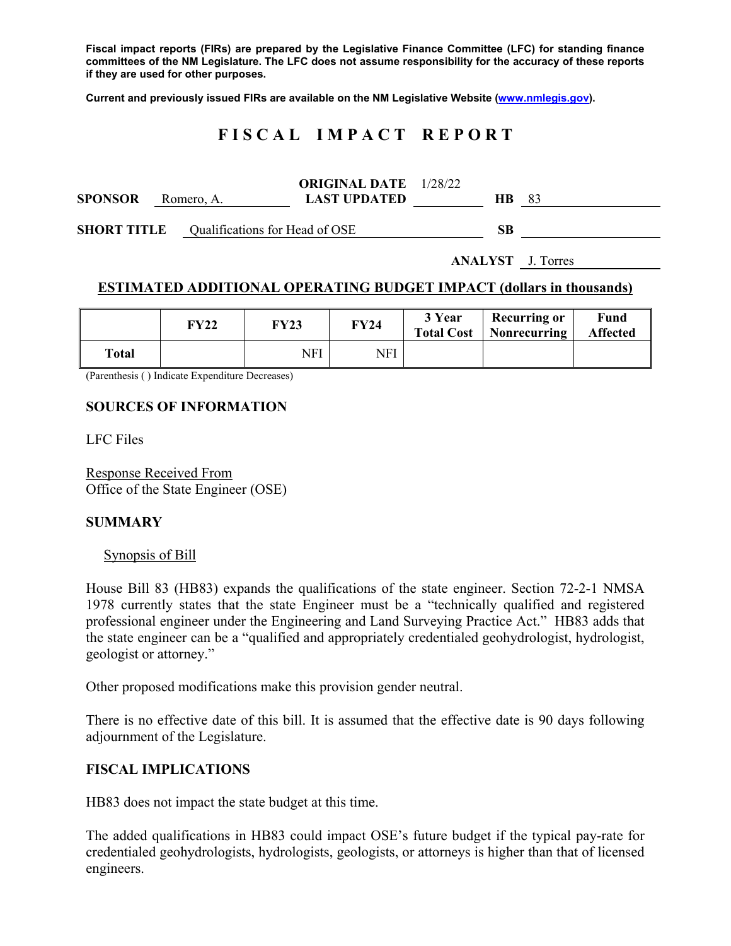**Fiscal impact reports (FIRs) are prepared by the Legislative Finance Committee (LFC) for standing finance committees of the NM Legislature. The LFC does not assume responsibility for the accuracy of these reports if they are used for other purposes.** 

**Current and previously issued FIRs are available on the NM Legislative Website (www.nmlegis.gov).** 

# **F I S C A L I M P A C T R E P O R T**

| <b>SPONSOR</b>                                       | Romero, A. |  | <b>ORIGINAL DATE</b> 1/28/22<br><b>LAST UPDATED</b> | HB. | -83 |
|------------------------------------------------------|------------|--|-----------------------------------------------------|-----|-----|
| <b>SHORT TITLE</b><br>Qualifications for Head of OSE |            |  |                                                     | SВ  |     |

**ANALYST** J. Torres

## **ESTIMATED ADDITIONAL OPERATING BUDGET IMPACT (dollars in thousands)**

|       | FY22 | <b>FY23</b> | FY24 | 3 Year<br><b>Total Cost</b> | <b>Recurring or</b><br>Nonrecurring | Fund<br><b>Affected</b> |
|-------|------|-------------|------|-----------------------------|-------------------------------------|-------------------------|
| Total |      | NFI         | NFI  |                             |                                     |                         |

(Parenthesis ( ) Indicate Expenditure Decreases)

### **SOURCES OF INFORMATION**

LFC Files

Response Received From Office of the State Engineer (OSE)

### **SUMMARY**

#### Synopsis of Bill

House Bill 83 (HB83) expands the qualifications of the state engineer. Section 72-2-1 NMSA 1978 currently states that the state Engineer must be a "technically qualified and registered professional engineer under the Engineering and Land Surveying Practice Act." HB83 adds that the state engineer can be a "qualified and appropriately credentialed geohydrologist, hydrologist, geologist or attorney."

Other proposed modifications make this provision gender neutral.

There is no effective date of this bill. It is assumed that the effective date is 90 days following adjournment of the Legislature.

### **FISCAL IMPLICATIONS**

HB83 does not impact the state budget at this time.

The added qualifications in HB83 could impact OSE's future budget if the typical pay-rate for credentialed geohydrologists, hydrologists, geologists, or attorneys is higher than that of licensed engineers.